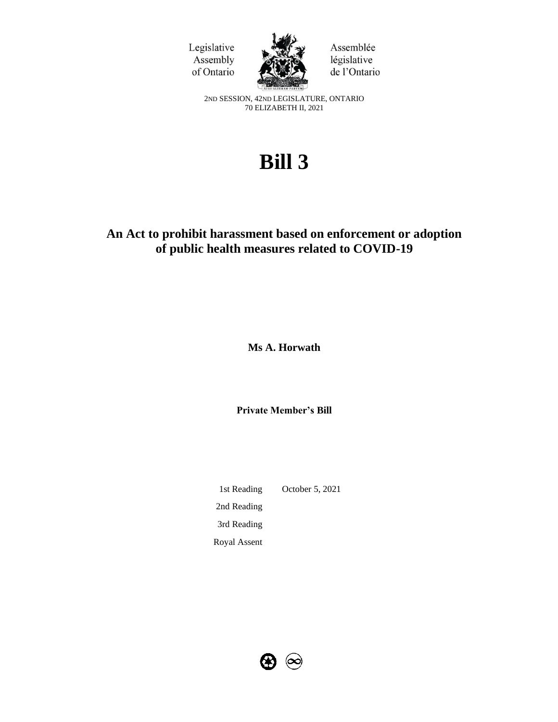



Assemblée législative de l'Ontario

2ND SESSION, 42ND LEGISLATURE, ONTARIO 70 ELIZABETH II, 2021

# **Bill 3**

## **An Act to prohibit harassment based on enforcement or adoption of public health measures related to COVID-19**

**Ms A. Horwath**

**Private Member's Bill**

1st Reading October 5, 2021 2nd Reading 3rd Reading Royal Assent

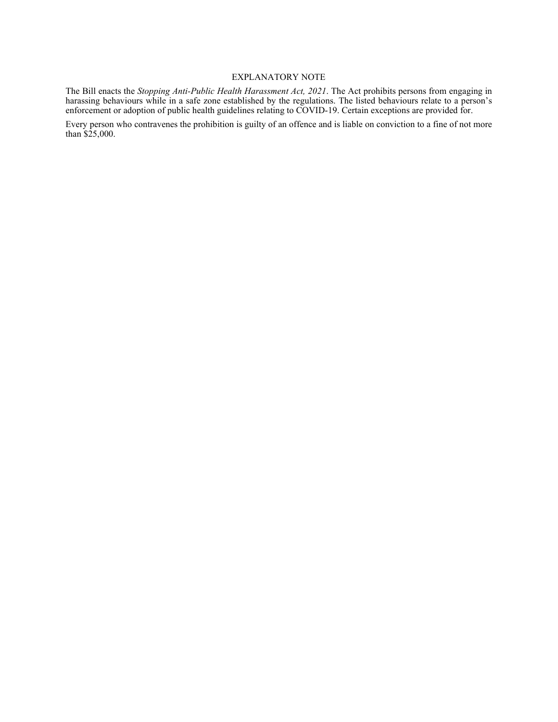#### EXPLANATORY NOTE

The Bill enacts the *Stopping Anti-Public Health Harassment Act, 2021*. The Act prohibits persons from engaging in harassing behaviours while in a safe zone established by the regulations. The listed behaviours relate to a person's enforcement or adoption of public health guidelines relating to COVID-19. Certain exceptions are provided for.

Every person who contravenes the prohibition is guilty of an offence and is liable on conviction to a fine of not more than \$25,000.